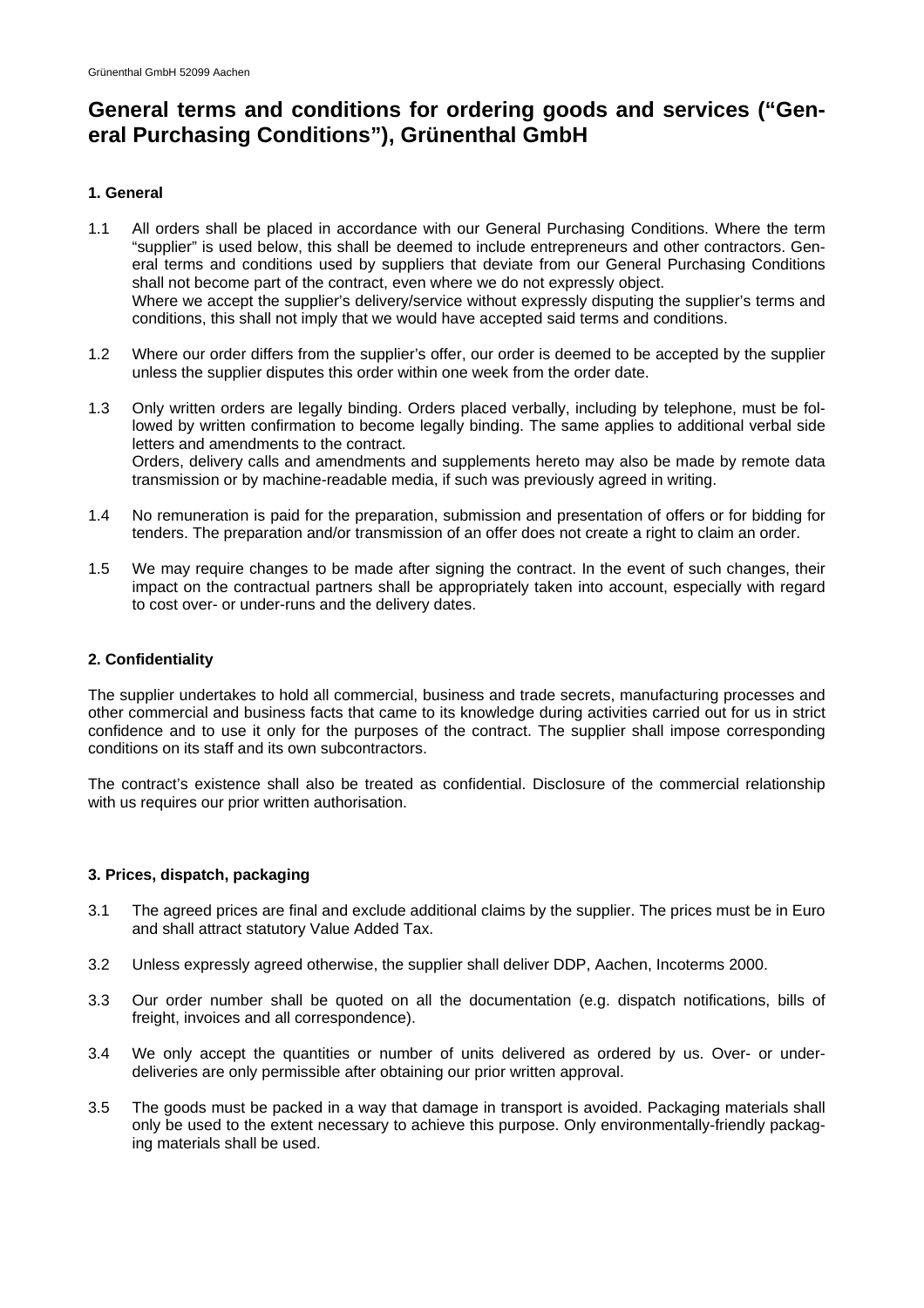# **General terms and conditions for ordering goods and services ("General Purchasing Conditions"), Grünenthal GmbH**

# **1. General**

- 1.1 All orders shall be placed in accordance with our General Purchasing Conditions. Where the term "supplier" is used below, this shall be deemed to include entrepreneurs and other contractors. General terms and conditions used by suppliers that deviate from our General Purchasing Conditions shall not become part of the contract, even where we do not expressly object. Where we accept the supplier's delivery/service without expressly disputing the supplier's terms and conditions, this shall not imply that we would have accepted said terms and conditions.
- 1.2 Where our order differs from the supplier's offer, our order is deemed to be accepted by the supplier unless the supplier disputes this order within one week from the order date.
- 1.3 Only written orders are legally binding. Orders placed verbally, including by telephone, must be followed by written confirmation to become legally binding. The same applies to additional verbal side letters and amendments to the contract. Orders, delivery calls and amendments and supplements hereto may also be made by remote data transmission or by machine-readable media, if such was previously agreed in writing.
- 1.4 No remuneration is paid for the preparation, submission and presentation of offers or for bidding for tenders. The preparation and/or transmission of an offer does not create a right to claim an order.
- 1.5 We may require changes to be made after signing the contract. In the event of such changes, their impact on the contractual partners shall be appropriately taken into account, especially with regard to cost over- or under-runs and the delivery dates.

## **2. Confidentiality**

The supplier undertakes to hold all commercial, business and trade secrets, manufacturing processes and other commercial and business facts that came to its knowledge during activities carried out for us in strict confidence and to use it only for the purposes of the contract. The supplier shall impose corresponding conditions on its staff and its own subcontractors.

The contract's existence shall also be treated as confidential. Disclosure of the commercial relationship with us requires our prior written authorisation.

### **3. Prices, dispatch, packaging**

- 3.1 The agreed prices are final and exclude additional claims by the supplier. The prices must be in Euro and shall attract statutory Value Added Tax.
- 3.2 Unless expressly agreed otherwise, the supplier shall deliver DDP, Aachen, Incoterms 2000.
- 3.3 Our order number shall be quoted on all the documentation (e.g. dispatch notifications, bills of freight, invoices and all correspondence).
- 3.4 We only accept the quantities or number of units delivered as ordered by us. Over- or underdeliveries are only permissible after obtaining our prior written approval.
- 3.5 The goods must be packed in a way that damage in transport is avoided. Packaging materials shall only be used to the extent necessary to achieve this purpose. Only environmentally-friendly packaging materials shall be used.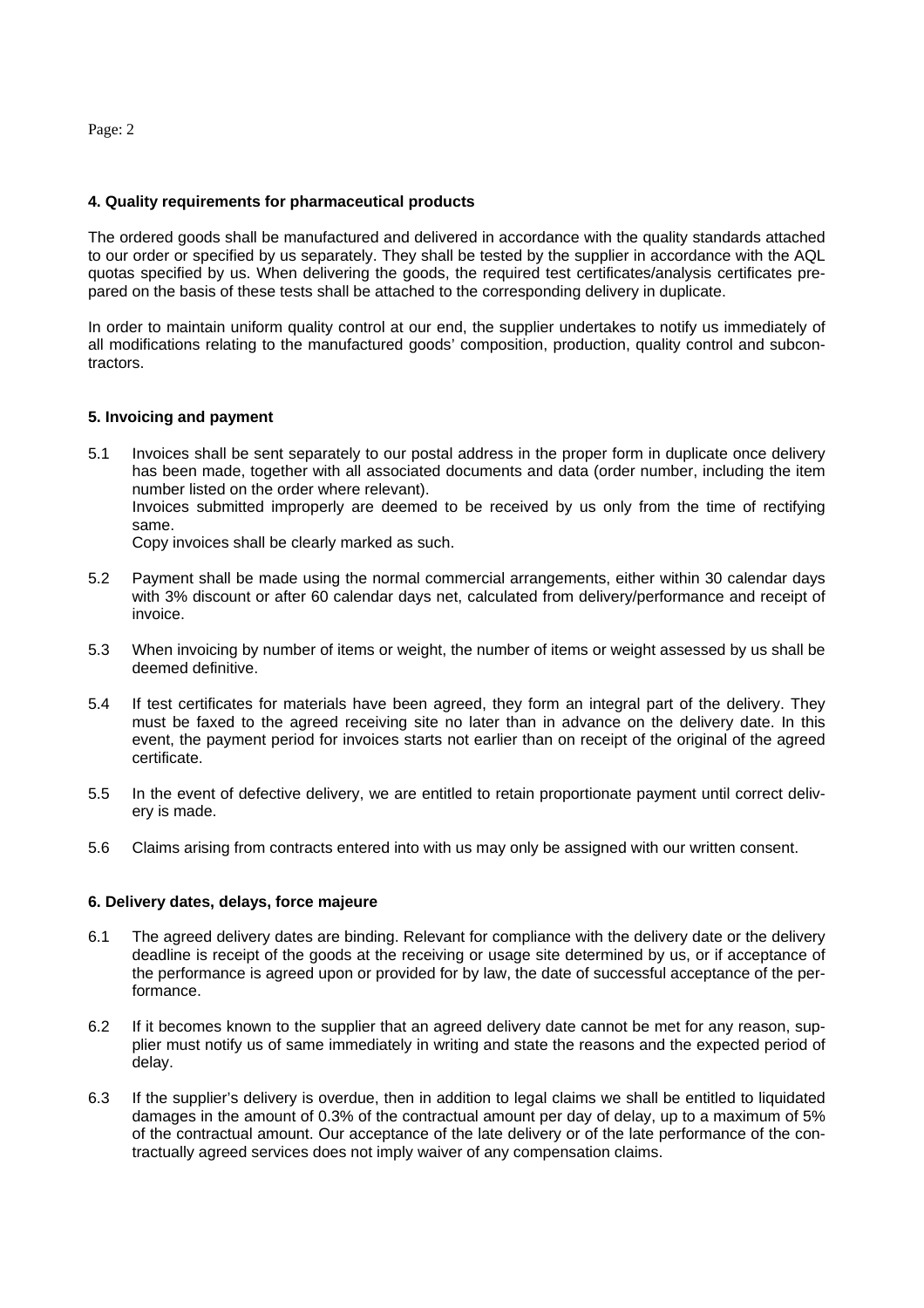Page: 2

## **4. Quality requirements for pharmaceutical products**

The ordered goods shall be manufactured and delivered in accordance with the quality standards attached to our order or specified by us separately. They shall be tested by the supplier in accordance with the AQL quotas specified by us. When delivering the goods, the required test certificates/analysis certificates prepared on the basis of these tests shall be attached to the corresponding delivery in duplicate.

In order to maintain uniform quality control at our end, the supplier undertakes to notify us immediately of all modifications relating to the manufactured goods' composition, production, quality control and subcontractors.

## **5. Invoicing and payment**

5.1 Invoices shall be sent separately to our postal address in the proper form in duplicate once delivery has been made, together with all associated documents and data (order number, including the item number listed on the order where relevant). Invoices submitted improperly are deemed to be received by us only from the time of rectifying same.

Copy invoices shall be clearly marked as such.

- 5.2 Payment shall be made using the normal commercial arrangements, either within 30 calendar days with 3% discount or after 60 calendar days net, calculated from delivery/performance and receipt of invoice.
- 5.3 When invoicing by number of items or weight, the number of items or weight assessed by us shall be deemed definitive.
- 5.4 If test certificates for materials have been agreed, they form an integral part of the delivery. They must be faxed to the agreed receiving site no later than in advance on the delivery date. In this event, the payment period for invoices starts not earlier than on receipt of the original of the agreed certificate.
- 5.5 In the event of defective delivery, we are entitled to retain proportionate payment until correct delivery is made.
- 5.6 Claims arising from contracts entered into with us may only be assigned with our written consent.

# **6. Delivery dates, delays, force majeure**

- 6.1 The agreed delivery dates are binding. Relevant for compliance with the delivery date or the delivery deadline is receipt of the goods at the receiving or usage site determined by us, or if acceptance of the performance is agreed upon or provided for by law, the date of successful acceptance of the performance.
- 6.2 If it becomes known to the supplier that an agreed delivery date cannot be met for any reason, supplier must notify us of same immediately in writing and state the reasons and the expected period of delay.
- 6.3 If the supplier's delivery is overdue, then in addition to legal claims we shall be entitled to liquidated damages in the amount of 0.3% of the contractual amount per day of delay, up to a maximum of 5% of the contractual amount. Our acceptance of the late delivery or of the late performance of the contractually agreed services does not imply waiver of any compensation claims.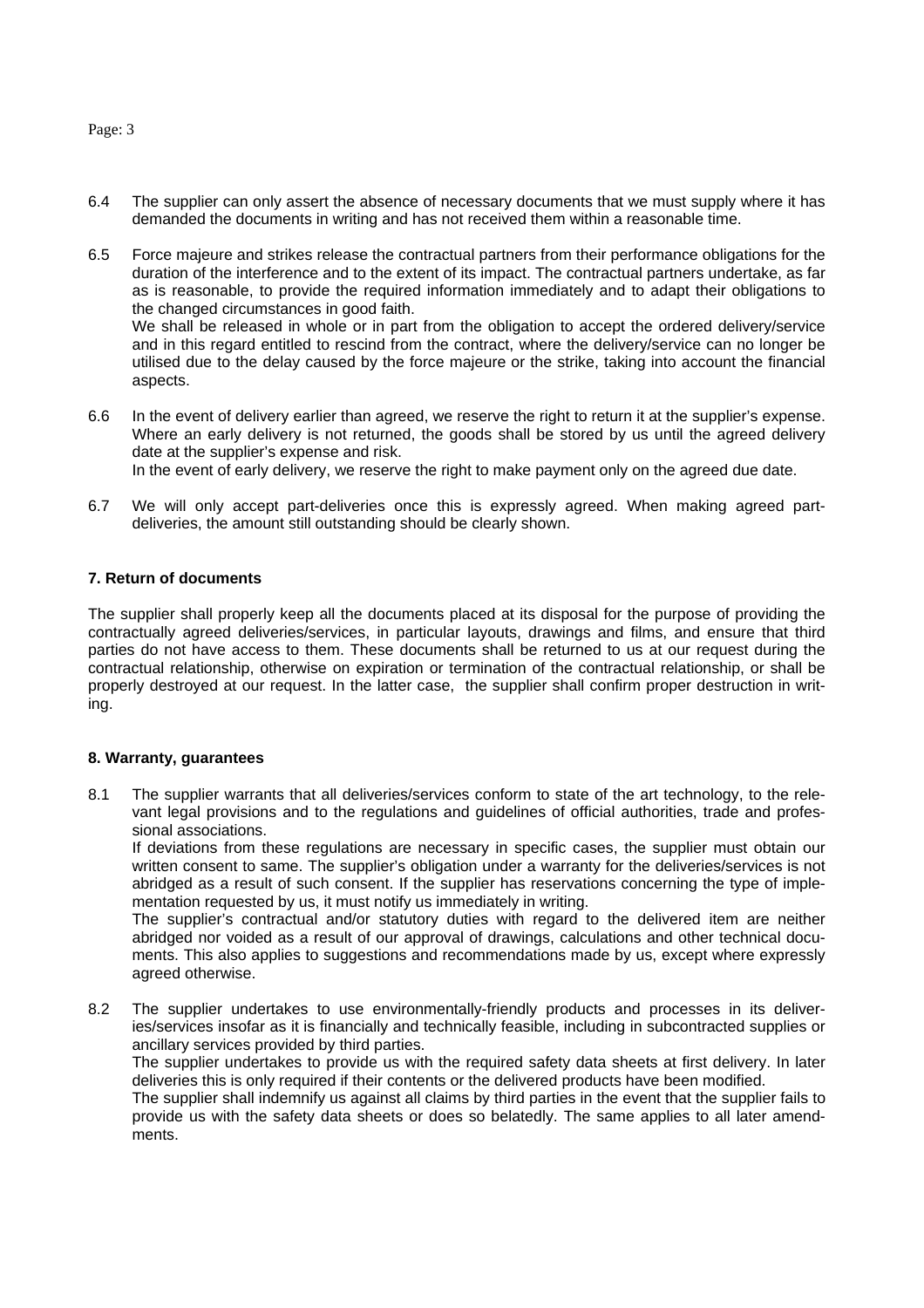Page: 3

- 6.4 The supplier can only assert the absence of necessary documents that we must supply where it has demanded the documents in writing and has not received them within a reasonable time.
- 6.5 Force majeure and strikes release the contractual partners from their performance obligations for the duration of the interference and to the extent of its impact. The contractual partners undertake, as far as is reasonable, to provide the required information immediately and to adapt their obligations to the changed circumstances in good faith. We shall be released in whole or in part from the obligation to accept the ordered delivery/service and in this regard entitled to rescind from the contract, where the delivery/service can no longer be utilised due to the delay caused by the force majeure or the strike, taking into account the financial

aspects. 6.6 In the event of delivery earlier than agreed, we reserve the right to return it at the supplier's expense. Where an early delivery is not returned, the goods shall be stored by us until the agreed delivery date at the supplier's expense and risk.

In the event of early delivery, we reserve the right to make payment only on the agreed due date.

6.7 We will only accept part-deliveries once this is expressly agreed. When making agreed partdeliveries, the amount still outstanding should be clearly shown.

#### **7. Return of documents**

The supplier shall properly keep all the documents placed at its disposal for the purpose of providing the contractually agreed deliveries/services, in particular layouts, drawings and films, and ensure that third parties do not have access to them. These documents shall be returned to us at our request during the contractual relationship, otherwise on expiration or termination of the contractual relationship, or shall be properly destroyed at our request. In the latter case, the supplier shall confirm proper destruction in writing.

#### **8. Warranty, guarantees**

8.1 The supplier warrants that all deliveries/services conform to state of the art technology, to the relevant legal provisions and to the regulations and guidelines of official authorities, trade and professional associations.

If deviations from these regulations are necessary in specific cases, the supplier must obtain our written consent to same. The supplier's obligation under a warranty for the deliveries/services is not abridged as a result of such consent. If the supplier has reservations concerning the type of implementation requested by us, it must notify us immediately in writing.

The supplier's contractual and/or statutory duties with regard to the delivered item are neither abridged nor voided as a result of our approval of drawings, calculations and other technical documents. This also applies to suggestions and recommendations made by us, except where expressly agreed otherwise.

8.2 The supplier undertakes to use environmentally-friendly products and processes in its deliveries/services insofar as it is financially and technically feasible, including in subcontracted supplies or ancillary services provided by third parties.

The supplier undertakes to provide us with the required safety data sheets at first delivery. In later deliveries this is only required if their contents or the delivered products have been modified.

The supplier shall indemnify us against all claims by third parties in the event that the supplier fails to provide us with the safety data sheets or does so belatedly. The same applies to all later amendments.